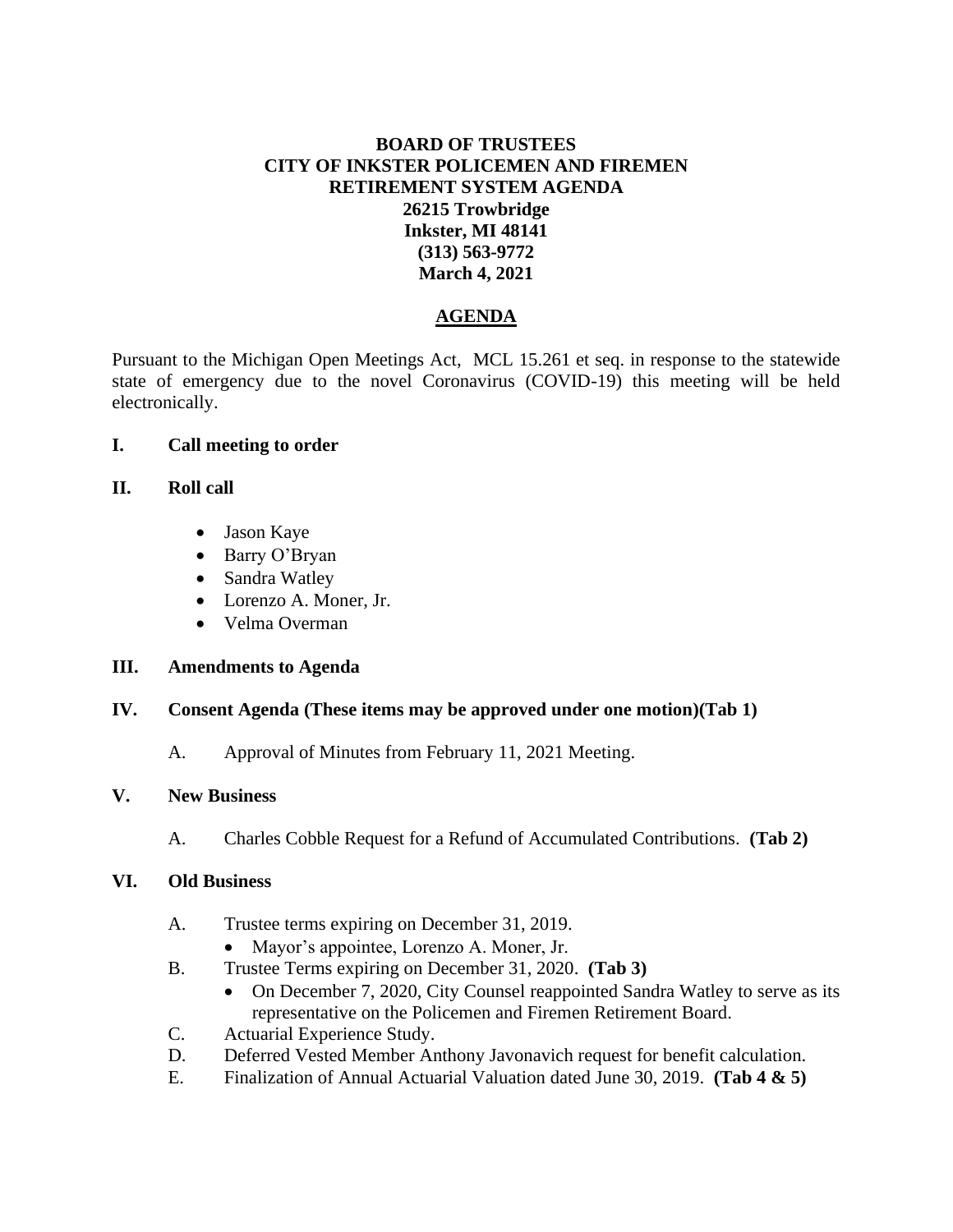# **BOARD OF TRUSTEES CITY OF INKSTER POLICEMEN AND FIREMEN RETIREMENT SYSTEM AGENDA 26215 Trowbridge Inkster, MI 48141 (313) 563-9772 March 4, 2021**

# **AGENDA**

Pursuant to the Michigan Open Meetings Act, MCL 15.261 et seq. in response to the statewide state of emergency due to the novel Coronavirus (COVID-19) this meeting will be held electronically.

### **I. Call meeting to order**

### **II. Roll call**

- Jason Kaye
- Barry O'Bryan
- Sandra Watley
- Lorenzo A. Moner, Jr.
- Velma Overman

### **III. Amendments to Agenda**

# **IV. Consent Agenda (These items may be approved under one motion)(Tab 1)**

A. Approval of Minutes from February 11, 2021 Meeting.

### **V. New Business**

A. Charles Cobble Request for a Refund of Accumulated Contributions. **(Tab 2)**

### **VI. Old Business**

- A. Trustee terms expiring on December 31, 2019.
	- Mayor's appointee, Lorenzo A. Moner, Jr.
- B. Trustee Terms expiring on December 31, 2020. **(Tab 3)**
	- On December 7, 2020, City Counsel reappointed Sandra Watley to serve as its representative on the Policemen and Firemen Retirement Board.
- C. Actuarial Experience Study.
- D. Deferred Vested Member Anthony Javonavich request for benefit calculation.
- E. Finalization of Annual Actuarial Valuation dated June 30, 2019. **(Tab 4 & 5)**